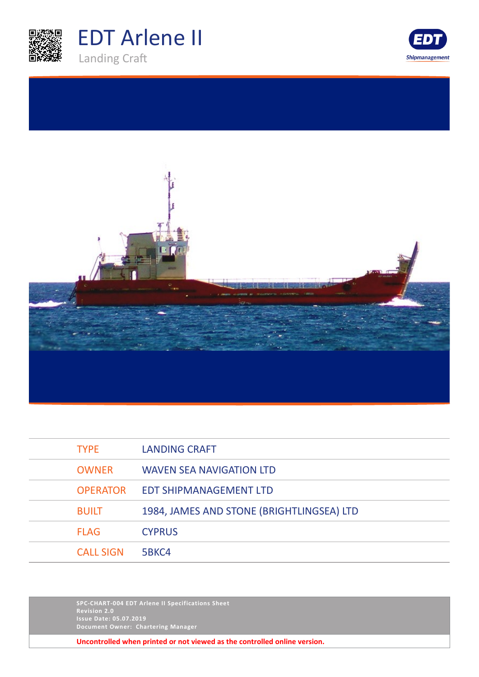





| <b>TYPE</b>      | LANDING CRAFT                             |
|------------------|-------------------------------------------|
| <b>OWNER</b>     | <b>WAVEN SEA NAVIGATION LTD</b>           |
| <b>OPERATOR</b>  | <b>EDT SHIPMANAGEMENT LTD</b>             |
| <b>BUILT</b>     | 1984, JAMES AND STONE (BRIGHTLINGSEA) LTD |
| <b>FLAG</b>      | <b>CYPRUS</b>                             |
| <b>CALL SIGN</b> | 5BKC4                                     |

**SPC-CHART-004 EDT Arlene II Specifications Sheet Revision 2.0 Issue Date: 05.07.2019 Document Owner: Chartering Manager**

**Uncontrolled when printed or not viewed as the controlled online version.**